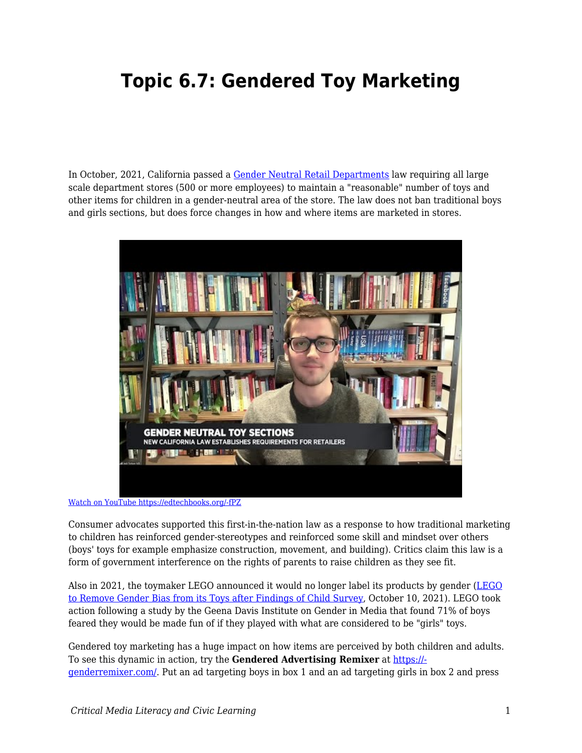## **Topic 6.7: Gendered Toy Marketing**

In October, 2021, California passed a [Gender Neutral Retail Departments](https://leginfo.legislature.ca.gov/faces/billNavClient.xhtml?bill_id=202120220AB1084) law requiring all large scale department stores (500 or more employees) to maintain a "reasonable" number of toys and other items for children in a gender-neutral area of the store. The law does not ban traditional boys and girls sections, but does force changes in how and where items are marketed in stores.



[Watch on YouTube https://edtechbooks.org/-fPZ](https://www.youtube.com/embed/Z8uLCo4tCss?autoplay=1&rel=0&showinfo=0&modestbranding=1)

Consumer advocates supported this first-in-the-nation law as a response to how traditional marketing to children has reinforced gender-stereotypes and reinforced some skill and mindset over others (boys' toys for example emphasize construction, movement, and building). Critics claim this law is a form of government interference on the rights of parents to raise children as they see fit.

Also in 2021, the toymaker [LEGO](https://www.theguardian.com/lifeandstyle/2021/oct/11/lego-to-remove-gender-bias-after-survey-shows-impact-on-children-stereotypes) announced it would no longer label its products by gender (LEGO [to Remove Gender Bias from its Toys after Findings of Child Survey](https://www.theguardian.com/lifeandstyle/2021/oct/11/lego-to-remove-gender-bias-after-survey-shows-impact-on-children-stereotypes), October 10, 2021). LEGO took action following a study by the Geena Davis Institute on Gender in Media that found 71% of boys feared they would be made fun of if they played with what are considered to be "girls" toys.

Gendered toy marketing has a huge impact on how items are perceived by both children and adults. To see this dynamic in action, try the **Gendered Advertising Remixer** at [https://](https://genderremixer.com/) [genderremixer.com/.](https://genderremixer.com/) Put an ad targeting boys in box 1 and an ad targeting girls in box 2 and press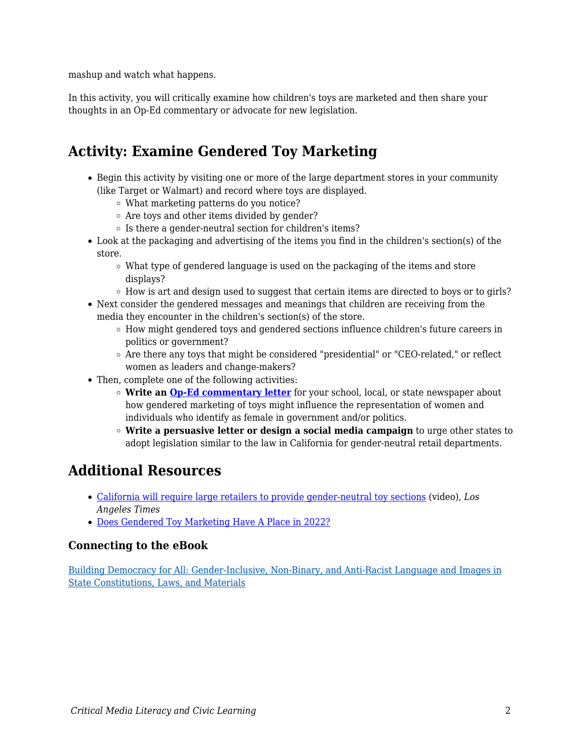mashup and watch what happens.

In this activity, you will critically examine how children's toys are marketed and then share your thoughts in an Op-Ed commentary or advocate for new legislation.

## **Activity: Examine Gendered Toy Marketing**

- Begin this activity by visiting one or more of the large department stores in your community (like Target or Walmart) and record where toys are displayed.
	- What marketing patterns do you notice?
	- Are toys and other items divided by gender?
	- $\circ$  Is there a gender-neutral section for children's items?
- Look at the packaging and advertising of the items you find in the children's section(s) of the store.
	- $\circ$  What type of gendered language is used on the packaging of the items and store displays?
	- $\circ$  How is art and design used to suggest that certain items are directed to boys or to girls?
- Next consider the gendered messages and meanings that children are receiving from the media they encounter in the children's section(s) of the store.
	- How might gendered toys and gendered sections influence children's future careers in politics or government?
	- $\circ$  Are there any toys that might be considered "presidential" or "CEO-related," or reflect women as leaders and change-makers?
- Then, complete one of the following activities:
	- **Write an [Op-Ed](https://edtechbooks.org/democracy/writing_the_news#h2_VNXTu) [commentary letter](https://edtechbooks.org/democracy/writing_the_news#h2_VNXTu)** for your school, local, or state newspaper about how gendered marketing of toys might influence the representation of women and individuals who identify as female in government and/or politics.
	- **Write a persuasive letter or design a social media campaign** to urge other states to adopt legislation similar to the law in California for gender-neutral retail departments.

## **Additional Resources**

- [California will require large retailers to provide gender-neutral toy sections](https://www.youtube.com/watch?v=tUYfZV2CU_8) (video), *Los Angeles Times*
- [Does Gendered Toy Marketing Have A Place in 2022?](https://latana.com/post/gendered-toy-marketing-in-2022/)

## **Connecting to the eBook**

[Building Democracy for All: Gender-Inclusive, Non-Binary, and Anti-Racist Language and Images in](https://edtechbooks.org/democracy/massconstitution#h2_kiUNy) [State Constitutions, Laws, and Materials](https://edtechbooks.org/democracy/massconstitution#h2_kiUNy)